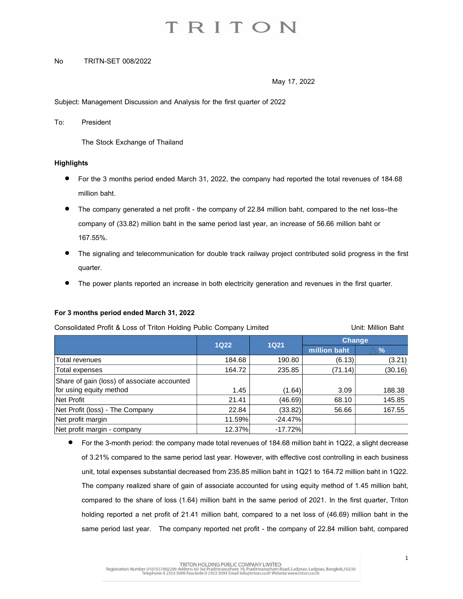#### No TRITN-SET 008/2022

May 17, 2022

Subject: Management Discussion and Analysis for the first quarter of 2022

To: President

The Stock Exchange of Thailand

#### **Highlights**

- For the 3 months period ended March 31, 2022, the company had reported the total revenues of 184.68 million baht.
- The company generated a net profit the company of 22.84 million baht, compared to the net loss-the company of (33.82) million baht in the same period last year, an increase of 56.66 million baht or 167.55%.
- The signaling and telecommunication for double track railway project contributed solid progress in the first quarter.
- The power plants reported an increase in both electricity generation and revenues in the first quarter.

#### **For 3 months period ended March31,2022**

| Consolidated Profit & Loss of Triton Holding Public Company Limited |             |             | Unit: Million Baht |               |
|---------------------------------------------------------------------|-------------|-------------|--------------------|---------------|
|                                                                     |             | <b>1Q21</b> | <b>Change</b>      |               |
|                                                                     | <b>1Q22</b> |             | million baht       | $\frac{9}{6}$ |
| Total revenues                                                      | 184.68      | 190.80      | (6.13)             | (3.21)        |
| Total expenses                                                      | 164.72      | 235.85      | (71.14)            | (30.16)       |
| Share of gain (loss) of associate accounted                         |             |             |                    |               |
| for using equity method                                             | 1.45        | (1.64)      | 3.09               | 188.38        |
| Net Profit                                                          | 21.41       | (46.69)     | 68.10              | 145.85        |
| Net Profit (loss) - The Company                                     | 22.84       | (33.82)     | 56.66              | 167.55        |
| Net profit margin                                                   | 11.59%      | $-24.47%$   |                    |               |
| Net profit margin - company                                         | 12.37%      | $-17.72%$   |                    |               |

 $\bullet$  For the 3-month period: the company made total revenues of 184.68 million baht in 1Q22, a slight decrease of 3.21% compared to the same period last year. However, with effective cost controlling in each business unit, total expenses substantial decreased from 235.85 million baht in 1Q21 to 164.72 million baht in 1Q22. The company realized share of gain of associate accounted for using equity method of 1.45 million baht, compared to the share of loss (1.64) million baht in the same period of 2021. In the first quarter, Triton holding reported a net profit of 21.41 million baht, compared to a net loss of (46.69) million baht in the same period last year. The company reported net profit - the company of 22.84 million baht, compared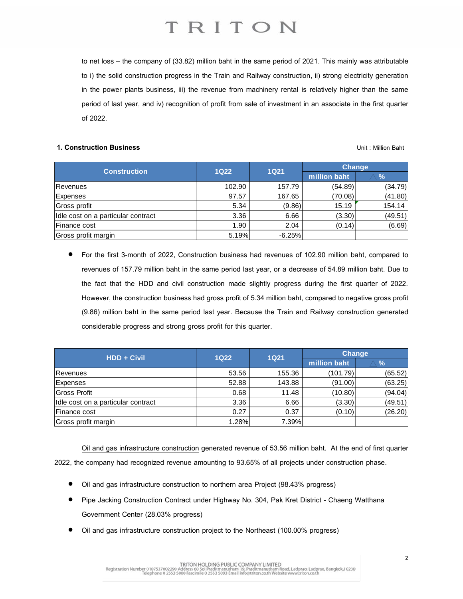to net loss – the company of (33.82) million baht in the same period of 2021. This mainly was attributable to i) the solid construction progress in the Train and Railway construction, ii) strong electricity generation in the power plants business, iii) the revenue from machinery rental is relatively higher than the same period of last year, and iv) recognition of profit from sale of investment in an associate in the first quarter of 2022.

#### **1. Construction Business** Unit : Million Baht

| <b>Construction</b>                | <b>1Q22</b> | 1Q21     | Change       |               |
|------------------------------------|-------------|----------|--------------|---------------|
|                                    |             |          | million baht | $\frac{9}{6}$ |
| Revenues                           | 102.90      | 157.79   | (54.89)      | (34.79)       |
| Expenses                           | 97.57       | 167.65   | (70.08)      | (41.80)       |
| Gross profit                       | 5.34        | (9.86)   | 15.19        | 154.14        |
| Idle cost on a particular contract | 3.36        | 6.66     | (3.30)       | (49.51)       |
| Finance cost                       | 1.90        | 2.04     | (0.14)       | (6.69)        |
| Gross profit margin                | 5.19%       | $-6.25%$ |              |               |

• For the first 3-month of 2022, Construction business had revenues of 102.90 million baht, compared to revenues of 157.79 million baht in the same period last year, or a decrease of 54.89 million baht. Due to the fact that the HDD and civil construction made slightly progress during the first quarter of 2022. However, the construction business had gross profit of 5.34 million baht, compared to negative gross profit (9.86) million baht in the same period last year. Because the Train and Railway construction generated considerable progress and strong gross profit for this quarter.

| <b>HDD + Civil</b>                 | <b>1Q22</b> | <b>1Q21</b> | <b>Change</b> |               |
|------------------------------------|-------------|-------------|---------------|---------------|
|                                    |             |             | million baht  | $\frac{9}{6}$ |
| Revenues                           | 53.56       | 155.36      | (101.79)      | (65.52)       |
| <b>Expenses</b>                    | 52.88       | 143.88      | (91.00)       | (63.25)       |
| Gross Profit                       | 0.68        | 11.48       | (10.80)       | (94.04)       |
| Idle cost on a particular contract | 3.36        | 6.66        | (3.30)        | (49.51)       |
| Finance cost                       | 0.27        | 0.37        | (0.10)        | (26.20)       |
| Gross profit margin                | 1.28%       | 7.39%       |               |               |

Oil and gas infrastructure construction generated revenue of 53.56 million baht. At the end of first quarter 2022, the company had recognized revenue amounting to 93.65% of all projects under construction phase.

- Oil and gas infrastructure construction to northern area Project (98.43% progress)
- Pipe Jacking Construction Contract under Highway No. 304, Pak Kret District Chaeng Watthana Government Center (28.03% progress)
- Oil and gas infrastructure construction project to the Northeast (100.00% progress)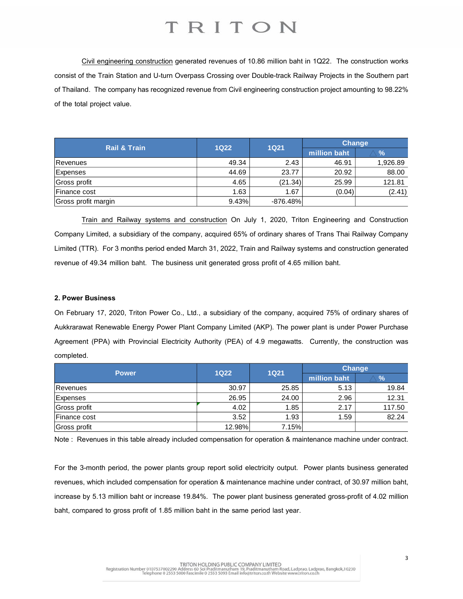Civil engineering construction generated revenues of 10.86 million baht in 1Q22. The construction works consist of the Train Station and U-turn Overpass Crossing over Double-track Railway Projects in the Southern part of Thailand. The company has recognized revenue from Civil engineering construction project amounting to 98.22% of the total project value.

| <b>Rail &amp; Train</b> | <b>1Q22</b> | <b>1Q21</b> | <b>Change</b> |               |
|-------------------------|-------------|-------------|---------------|---------------|
|                         |             |             | million baht  | $\frac{9}{6}$ |
| Revenues                | 49.34       | 2.43        | 46.91         | 1,926.89      |
| Expenses                | 44.69       | 23.77       | 20.92         | 88.00         |
| Gross profit            | 4.65        | (21.34)     | 25.99         | 121.81        |
| Finance cost            | 1.63        | 1.67        | (0.04)        | (2.41)        |
| Gross profit margin     | 9.43%       | $-876.48\%$ |               |               |

Train and Railway systems and construction On July 1, 2020, Triton Engineering and Construction Company Limited, a subsidiary of the company, acquired 65% of ordinary shares of Trans Thai Railway Company Limited (TTR). For 3 months period ended March 31, 2022, Train and Railway systems and construction generated revenue of 49.34 million baht. The business unit generated gross profit of 4.65 million baht.

#### **2. Power Business**

On February 17, 2020, Triton Power Co., Ltd., a subsidiary of the company, acquired 75% of ordinary shares of Aukkrarawat Renewable Energy Power Plant Company Limited (AKP). The power plant is under Power Purchase Agreement (PPA) with Provincial Electricity Authority (PEA) of 4.9 megawatts. Currently, the construction was completed.

| <b>Power</b> | $1Q22$ | <b>1Q21</b> | <b>Change</b> |        |
|--------------|--------|-------------|---------------|--------|
|              |        |             | million baht  | %      |
| Revenues     | 30.97  | 25.85       | 5.13          | 19.84  |
| Expenses     | 26.95  | 24.00       | 2.96          | 12.31  |
| Gross profit | 4.02   | 1.85        | 2.17          | 117.50 |
| Finance cost | 3.52   | 1.93        | 1.59          | 82.24  |
| Gross profit | 12.98% | 7.15%       |               |        |

Note : Revenues in this table already included compensation for operation & maintenance machine under contract.

For the 3-month period, the power plants group report solid electricity output. Power plants business generated revenues, which included compensation for operation & maintenance machine under contract, of 30.97 million baht, increase by 5.13 million baht or increase 19.84%. The power plant business generated gross-profit of 4.02 million baht, compared to gross profit of 1.85 million baht in the same period last year.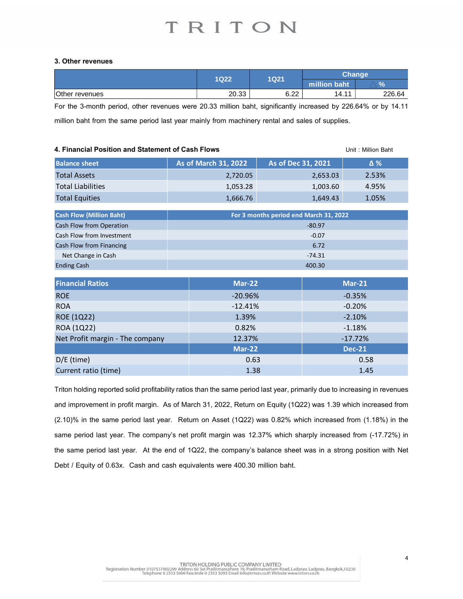#### **3. Other revenues**

|                | 1Q22          | 1Q21         | <b>Change</b>        |                     |
|----------------|---------------|--------------|----------------------|---------------------|
|                |               |              | <b>Imillion baht</b> | $\mathbf{O}/$<br>70 |
| Other revenues | בכ∩מ<br>20.JJ | 0.22<br>0.ZZ | 44<br>14.1           | 226.64              |

For the 3-month period, other revenues were 20.33 million baht, significantly increased by 226.64% or by 14.11 million baht from the same period last year mainly from machinery rental and sales of supplies.

### **4. Financial Position and Statement of Cash Flows** Unit : Million Baht **Balance sheet As of March 31, 2022 As of Dec 31, 2021 Δ %** Total Assets 2,720.05 2,653.03 2.53% Total Liabilities 1,053.28 1,003.60 4.95% Total Equities 1,666.76 1,666.76 1,649.43 1.05% **Cash Flow (Million Baht)** Cash Flow from Operation and the state of the state of the state of the state of the state of the state of the state of the state of the state of the state of the state of the state of the state of the state of the state o Cash Flow from Investment -0.07 and 100 minutes and 100 minutes of the United States of the United States of the U **Cash Flow from Financing 6.72 Cash Flow from Financing 6.72** Net Change in Cash -74.31 Ending Cash 400.30 **For 3 months period end March 31, 2022**

| <b>Financial Ratios</b>         | <b>Mar-22</b> | $Mar-21$      |
|---------------------------------|---------------|---------------|
| <b>ROE</b>                      | $-20.96%$     | $-0.35%$      |
| <b>ROA</b>                      | $-12.41%$     | $-0.20%$      |
| ROE (1Q22)                      | 1.39%         | $-2.10%$      |
| ROA (1Q22)                      | 0.82%         | $-1.18%$      |
| Net Profit margin - The company | 12.37%        | $-17.72%$     |
|                                 | <b>Mar-22</b> | <b>Dec-21</b> |
| $D/E$ (time)                    | 0.63          | 0.58          |
| Current ratio (time)            | 1.38          | 1.45          |

Triton holding reported solid profitability ratios than the same period last year, primarily due to increasing in revenues and improvement in profit margin. As of March 31, 2022, Return on Equity (1Q22) was 1.39 which increased from (2.10)% in the same period last year. Return on Asset (1Q22) was 0.82% which increased from (1.18%) in the same period last year. The company's net profit margin was 12.37% which sharply increased from (-17.72%) in the same period last year. At the end of 1Q22, the company's balance sheet was in a strong position with Net Debt / Equity of 0.63x. Cash and cash equivalents were 400.30 million baht.